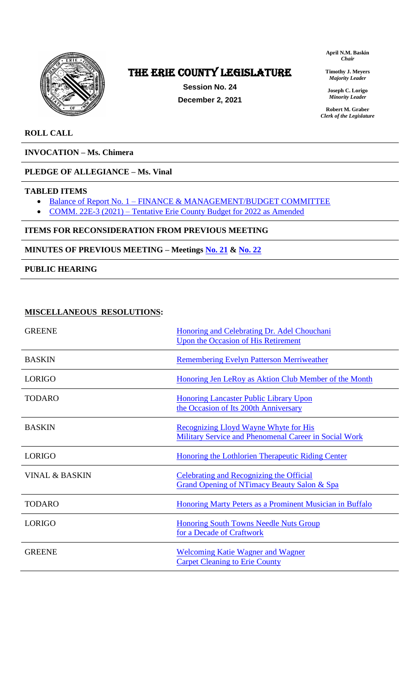

# The ERIE COUNTY LEGISLATURE

**Session No. 24 December 2, 2021** **April N.M. Baskin** *Chair*

**Timothy J. Meyers** *Majority Leader*

**Joseph C. Lorigo** *Minority Leader*

**Robert M. Graber** *Clerk of the Legislature*

### **ROLL CALL**

**INVOCATION – Ms. Chimera**

### **PLEDGE OF ALLEGIANCE – Ms. Vinal**

### **TABLED ITEMS**

- Balance of Report No. 1 [FINANCE & MANAGEMENT/BUDGET COMMITTEE](https://www2.erie.gov/legislature/sites/www2.erie.gov.legislature/files/uploads/Session_Folders/2021/24/FINALIZED%20-%20Finance%20%26%20Management%20Budget%20Committee%20Report%20No.%201%202021.pdf)
- COMM. 22E-3 (2021) [Tentative Erie County Budget for 2022 as Amended](https://www2.erie.gov/legislature/sites/www2.erie.gov.legislature/files/uploads/Session_Folders/2021/24/2022%20Budget%20Amendments%2011-30-21.pdf)

### **ITEMS FOR RECONSIDERATION FROM PREVIOUS MEETING**

**MINUTES OF PREVIOUS MEETING – Meetings [No. 21](https://www2.erie.gov/legislature/sites/www2.erie.gov.legislature/files/uploads/Session_Folders/2021/24/Meeting%2021%20from%202021%20minutes.pdf) & [No. 22](https://www2.erie.gov/legislature/sites/www2.erie.gov.legislature/files/uploads/Session_Folders/2021/24/Meeting%2022%20from%202021%20minutes.pdf)**

### **PUBLIC HEARING**

### **MISCELLANEOUS RESOLUTIONS:**

| <b>GREENE</b>             | Honoring and Celebrating Dr. Adel Chouchani<br><b>Upon the Occasion of His Retirement</b>                 |
|---------------------------|-----------------------------------------------------------------------------------------------------------|
| <b>BASKIN</b>             | <b>Remembering Evelyn Patterson Merriweather</b>                                                          |
| <b>LORIGO</b>             | Honoring Jen LeRoy as Aktion Club Member of the Month                                                     |
| <b>TODARO</b>             | <b>Honoring Lancaster Public Library Upon</b><br>the Occasion of Its 200th Anniversary                    |
| <b>BASKIN</b>             | Recognizing Lloyd Wayne Whyte for His<br>Military Service and Phenomenal Career in Social Work            |
| <b>LORIGO</b>             | Honoring the Lothlorien Therapeutic Riding Center                                                         |
| <b>VINAL &amp; BASKIN</b> | <b>Celebrating and Recognizing the Official</b><br><b>Grand Opening of NTimacy Beauty Salon &amp; Spa</b> |
| <b>TODARO</b>             | Honoring Marty Peters as a Prominent Musician in Buffalo                                                  |
| <b>LORIGO</b>             | <b>Honoring South Towns Needle Nuts Group</b><br>for a Decade of Craftwork                                |
| <b>GREENE</b>             | <b>Welcoming Katie Wagner and Wagner</b><br><b>Carpet Cleaning to Erie County</b>                         |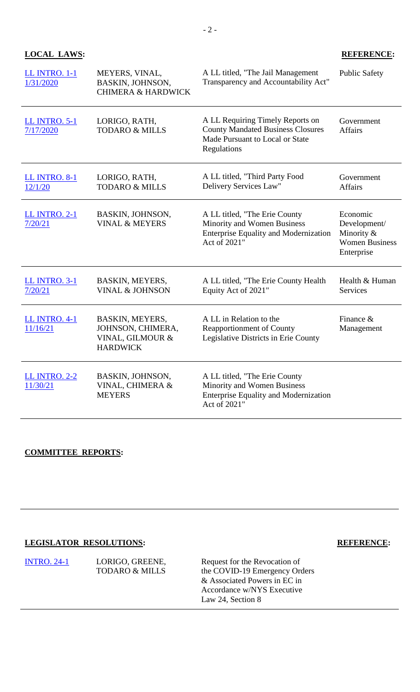## **LOCAL LAWS: REFERENCE:**

| <b>LL INTRO. 1-1</b><br>1/31/2020 | MEYERS, VINAL,<br>BASKIN, JOHNSON,<br><b>CHIMERA &amp; HARDWICK</b>         | A LL titled, "The Jail Management<br>Transparency and Accountability Act"                                                      | <b>Public Safety</b>                                                          |
|-----------------------------------|-----------------------------------------------------------------------------|--------------------------------------------------------------------------------------------------------------------------------|-------------------------------------------------------------------------------|
| <b>LL INTRO. 5-1</b><br>7/17/2020 | LORIGO, RATH,<br><b>TODARO &amp; MILLS</b>                                  | A LL Requiring Timely Reports on<br><b>County Mandated Business Closures</b><br>Made Pursuant to Local or State<br>Regulations | Government<br><b>Affairs</b>                                                  |
| <b>LL INTRO. 8-1</b><br>12/1/20   | LORIGO, RATH,<br><b>TODARO &amp; MILLS</b>                                  | A LL titled, "Third Party Food<br>Delivery Services Law"                                                                       | Government<br><b>Affairs</b>                                                  |
| <b>LL INTRO. 2-1</b><br>7/20/21   | BASKIN, JOHNSON,<br><b>VINAL &amp; MEYERS</b>                               | A LL titled, "The Erie County<br>Minority and Women Business<br><b>Enterprise Equality and Modernization</b><br>Act of 2021"   | Economic<br>Development/<br>Minority &<br><b>Women Business</b><br>Enterprise |
| <b>LL INTRO. 3-1</b><br>7/20/21   | BASKIN, MEYERS,<br><b>VINAL &amp; JOHNSON</b>                               | A LL titled, "The Erie County Health<br>Equity Act of 2021"                                                                    | Health & Human<br><b>Services</b>                                             |
| <b>LL INTRO. 4-1</b><br>11/16/21  | BASKIN, MEYERS,<br>JOHNSON, CHIMERA,<br>VINAL, GILMOUR &<br><b>HARDWICK</b> | A LL in Relation to the<br><b>Reapportionment of County</b><br>Legislative Districts in Erie County                            | Finance $\&$<br>Management                                                    |
| <b>LL INTRO. 2-2</b><br>11/30/21  | BASKIN, JOHNSON,<br>VINAL, CHIMERA &<br><b>MEYERS</b>                       | A LL titled, "The Erie County<br>Minority and Women Business<br><b>Enterprise Equality and Modernization</b><br>Act of 2021"   |                                                                               |

# **COMMITTEE REPORTS:**

# **LEGISLATOR RESOLUTIONS: REFERENCE:**

| <b>INTRO. 24-1</b> | LORIGO, GREENE,           | Request for the Revocation of |
|--------------------|---------------------------|-------------------------------|
|                    | <b>TODARO &amp; MILLS</b> | the COVID-19 Emergency Orders |
|                    |                           | & Associated Powers in EC in  |
|                    |                           | Accordance w/NYS Executive    |
|                    |                           | Law 24, Section 8             |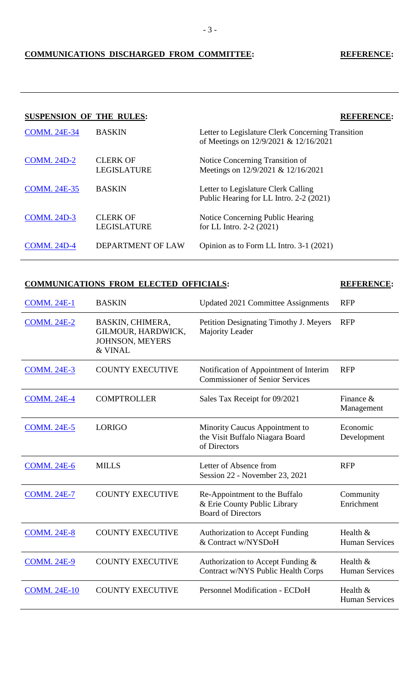## **COMMUNICATIONS DISCHARGED FROM COMMITTEE: REFERENCE:**

### **SUSPENSION OF THE RULES: REFERENCE:**

| <b>COMM. 24E-34</b> | <b>BASKIN</b>                         | Letter to Legislature Clerk Concerning Transition<br>of Meetings on 12/9/2021 & 12/16/2021 |
|---------------------|---------------------------------------|--------------------------------------------------------------------------------------------|
| <b>COMM. 24D-2</b>  | <b>CLERK OF</b><br><b>LEGISLATURE</b> | Notice Concerning Transition of<br>Meetings on 12/9/2021 & 12/16/2021                      |
| <b>COMM. 24E-35</b> | <b>BASKIN</b>                         | Letter to Legislature Clerk Calling<br>Public Hearing for LL Intro. 2-2 (2021)             |
| <b>COMM. 24D-3</b>  | <b>CLERK OF</b><br><b>LEGISLATURE</b> | Notice Concerning Public Hearing<br>for LL Intro. $2-2$ (2021)                             |
| <b>COMM. 24D-4</b>  | <b>DEPARTMENT OF LAW</b>              | Opinion as to Form LL Intro. 3-1 (2021)                                                    |

### **COMMUNICATIONS FROM ELECTED OFFICIALS: REFERENCE:**

| <b>COMM. 24E-1</b>  | <b>BASKIN</b>                                                               | <b>Updated 2021 Committee Assignments</b>                                                  | <b>RFP</b>                        |
|---------------------|-----------------------------------------------------------------------------|--------------------------------------------------------------------------------------------|-----------------------------------|
| <b>COMM. 24E-2</b>  | BASKIN, CHIMERA,<br>GILMOUR, HARDWICK,<br><b>JOHNSON, MEYERS</b><br>& VINAL | Petition Designating Timothy J. Meyers<br>Majority Leader                                  | <b>RFP</b>                        |
| <b>COMM. 24E-3</b>  | <b>COUNTY EXECUTIVE</b>                                                     | Notification of Appointment of Interim<br><b>Commissioner of Senior Services</b>           | <b>RFP</b>                        |
| <b>COMM. 24E-4</b>  | <b>COMPTROLLER</b>                                                          | Sales Tax Receipt for 09/2021                                                              | Finance $\&$<br>Management        |
| <b>COMM. 24E-5</b>  | <b>LORIGO</b>                                                               | Minority Caucus Appointment to<br>the Visit Buffalo Niagara Board<br>of Directors          | Economic<br>Development           |
| <b>COMM. 24E-6</b>  | <b>MILLS</b>                                                                | Letter of Absence from<br>Session 22 - November 23, 2021                                   | <b>RFP</b>                        |
| <b>COMM. 24E-7</b>  | <b>COUNTY EXECUTIVE</b>                                                     | Re-Appointment to the Buffalo<br>& Erie County Public Library<br><b>Board of Directors</b> | Community<br>Enrichment           |
| <b>COMM. 24E-8</b>  | <b>COUNTY EXECUTIVE</b>                                                     | <b>Authorization to Accept Funding</b><br>& Contract w/NYSDoH                              | Health &<br><b>Human Services</b> |
| <b>COMM. 24E-9</b>  | <b>COUNTY EXECUTIVE</b>                                                     | Authorization to Accept Funding $\&$<br>Contract w/NYS Public Health Corps                 | Health &<br><b>Human Services</b> |
| <b>COMM. 24E-10</b> | <b>COUNTY EXECUTIVE</b>                                                     | <b>Personnel Modification - ECDoH</b>                                                      | Health &<br><b>Human Services</b> |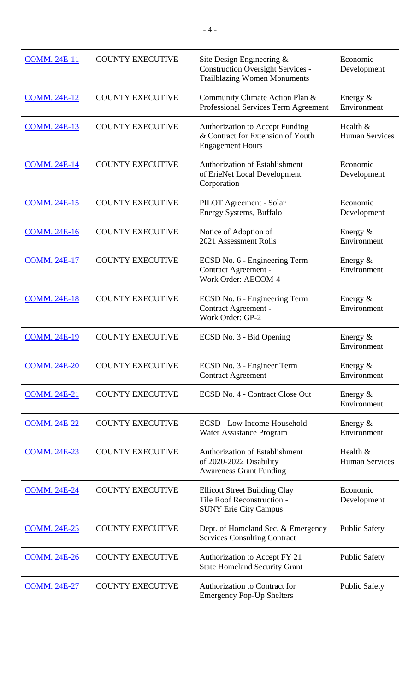| <b>COMM. 24E-11</b> | <b>COUNTY EXECUTIVE</b> | Site Design Engineering $\&$<br><b>Construction Oversight Services -</b><br><b>Trailblazing Women Monuments</b> | Economic<br>Development           |
|---------------------|-------------------------|-----------------------------------------------------------------------------------------------------------------|-----------------------------------|
| <b>COMM. 24E-12</b> | <b>COUNTY EXECUTIVE</b> | Community Climate Action Plan &<br>Professional Services Term Agreement                                         | Energy $&$<br>Environment         |
| <b>COMM. 24E-13</b> | <b>COUNTY EXECUTIVE</b> | <b>Authorization to Accept Funding</b><br>& Contract for Extension of Youth<br><b>Engagement Hours</b>          | Health &<br><b>Human Services</b> |
| <b>COMM. 24E-14</b> | <b>COUNTY EXECUTIVE</b> | <b>Authorization of Establishment</b><br>of ErieNet Local Development<br>Corporation                            | Economic<br>Development           |
| <b>COMM. 24E-15</b> | <b>COUNTY EXECUTIVE</b> | PILOT Agreement - Solar<br>Energy Systems, Buffalo                                                              | Economic<br>Development           |
| <b>COMM. 24E-16</b> | <b>COUNTY EXECUTIVE</b> | Notice of Adoption of<br>2021 Assessment Rolls                                                                  | Energy $&$<br>Environment         |
| <b>COMM. 24E-17</b> | <b>COUNTY EXECUTIVE</b> | ECSD No. 6 - Engineering Term<br>Contract Agreement -<br>Work Order: AECOM-4                                    | Energy &<br>Environment           |
| <b>COMM. 24E-18</b> | <b>COUNTY EXECUTIVE</b> | ECSD No. 6 - Engineering Term<br>Contract Agreement -<br>Work Order: GP-2                                       | Energy $&$<br>Environment         |
| <b>COMM. 24E-19</b> | <b>COUNTY EXECUTIVE</b> | ECSD No. 3 - Bid Opening                                                                                        | Energy $&$<br>Environment         |
| <b>COMM. 24E-20</b> | <b>COUNTY EXECUTIVE</b> | ECSD No. 3 - Engineer Term<br><b>Contract Agreement</b>                                                         | Energy $&$<br>Environment         |
| <b>COMM. 24E-21</b> | <b>COUNTY EXECUTIVE</b> | ECSD No. 4 - Contract Close Out                                                                                 | Energy $&$<br>Environment         |
| <b>COMM. 24E-22</b> | <b>COUNTY EXECUTIVE</b> | <b>ECSD</b> - Low Income Household<br>Water Assistance Program                                                  | Energy $&$<br>Environment         |
| <b>COMM. 24E-23</b> | <b>COUNTY EXECUTIVE</b> | <b>Authorization of Establishment</b><br>of 2020-2022 Disability<br><b>Awareness Grant Funding</b>              | Health &<br><b>Human Services</b> |
| <b>COMM. 24E-24</b> | <b>COUNTY EXECUTIVE</b> | <b>Ellicott Street Building Clay</b><br>Tile Roof Reconstruction -<br><b>SUNY Erie City Campus</b>              | Economic<br>Development           |
| <b>COMM. 24E-25</b> | <b>COUNTY EXECUTIVE</b> | Dept. of Homeland Sec. & Emergency<br><b>Services Consulting Contract</b>                                       | <b>Public Safety</b>              |
| <b>COMM. 24E-26</b> | <b>COUNTY EXECUTIVE</b> | Authorization to Accept FY 21<br><b>State Homeland Security Grant</b>                                           | <b>Public Safety</b>              |
| <b>COMM. 24E-27</b> | <b>COUNTY EXECUTIVE</b> | Authorization to Contract for<br><b>Emergency Pop-Up Shelters</b>                                               | <b>Public Safety</b>              |